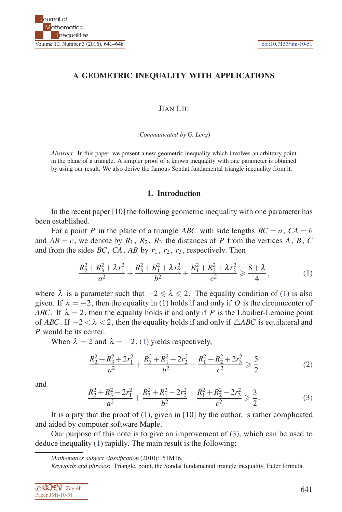# **A GEOMETRIC INEQUALITY WITH APPLICATIONS**

JIAN LIU

(*Communicated by G. Leng*)

*Abstract.* In this paper, we present a new geometric inequality which involves an arbitrary point in the plane of a triangle. A simpler proof of a known inequality with one parameter is obtained by using our result. We also derive the famous Sondat fundamental triangle inequality from it.

## **1. Introduction**

In the recent paper [10] the following geometric inequality with one parameter has been established.

For a point *P* in the plane of a triangle *ABC* with side lengths  $BC = a$ ,  $CA = b$ and  $AB = c$ , we denote by  $R_1$ ,  $R_2$ ,  $R_3$  the distances of P from the vertices A, B, C and from the sides *BC*, *CA*, *AB* by  $r_1$ ,  $r_2$ ,  $r_3$ , respectively. Then

$$
\frac{R_2^2 + R_3^2 + \lambda r_1^2}{a^2} + \frac{R_3^2 + R_1^2 + \lambda r_2^2}{b^2} + \frac{R_1^2 + R_2^2 + \lambda r_3^2}{c^2} \ge \frac{8 + \lambda}{4},
$$
 (1)

where  $\lambda$  is a parameter such that  $-2 \le \lambda \le 2$ . The equality condition of (1) is also given. If  $\lambda = -2$ , then the equality in (1) holds if and only if O is the circumcenter of *ABC*. If  $\lambda = 2$ , then the equality holds if and only if *P* is the Lhuilier-Lemoine point of *ABC*. If  $-2 < \lambda < 2$ , then the equality holds if and only if  $\triangle ABC$  is equilateral and *P* would be its center.

When  $\lambda = 2$  and  $\lambda = -2$ , (1) yields respectively,

$$
\frac{R_2^2 + R_3^2 + 2r_1^2}{a^2} + \frac{R_3^2 + R_1^2 + 2r_2^2}{b^2} + \frac{R_1^2 + R_2^2 + 2r_3^2}{c^2} \ge \frac{5}{2}
$$
 (2)

and

$$
\frac{R_2^2 + R_3^2 - 2r_1^2}{a^2} + \frac{R_3^2 + R_1^2 - 2r_2^2}{b^2} + \frac{R_1^2 + R_2^2 - 2r_3^2}{c^2} \ge \frac{3}{2}.
$$
 (3)

It is a pity that the proof of  $(1)$ , given in [10] by the author, is rather complicated and aided by computer software Maple.

Our purpose of this note is to give an improvement of (3), which can be used to deduce inequality (1) rapidly. The main result is the following:

*Keywords and phrases*: Triangle, point, the Sondat fundamental triangle inequality, Euler formula.

| © CEMV, Zagreb  |
|-----------------|
| Paper JMI-10-51 |

*Mathematics subject classification* (2010): 51M16.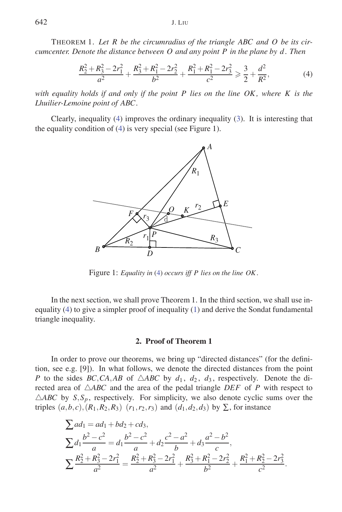THEOREM 1. *Let R be the circumradius of the triangle ABC and O be its circumcenter. Denote the distance between O and any point P in the plane by d . Then*

$$
\frac{R_2^2 + R_3^2 - 2r_1^2}{a^2} + \frac{R_3^2 + R_1^2 - 2r_2^2}{b^2} + \frac{R_1^2 + R_1^2 - 2r_3^2}{c^2} \ge \frac{3}{2} + \frac{d^2}{R^2},
$$
(4)

*with equality holds if and only if the point P lies on the line OK , where K is the Lhuilier-Lemoine point of ABC.*

Clearly, inequality (4) improves the ordinary inequality (3). It is interesting that the equality condition of (4) is very special (see Figure 1).



Figure 1: *Equality in* (4) *occurs iff P lies on the line OK .*

In the next section, we shall prove Theorem 1. In the third section, we shall use inequality (4) to give a simpler proof of inequality (1) and derive the Sondat fundamental triangle inequality.

## **2. Proof of Theorem 1**

In order to prove our theorems, we bring up "directed distances" (for the definition, see e.g. [9]). In what follows, we denote the directed distances from the point *P* to the sides *BC*,*CA*,*AB* of  $\triangle ABC$  by  $d_1$ ,  $d_2$ ,  $d_3$ , respectively. Denote the directed area of  $\triangle ABC$  and the area of the pedal triangle *DEF* of *P* with respect to  $\triangle ABC$  by  $S$ ,  $S_p$ , respectively. For simplicity, we also denote cyclic sums over the triples  $(a, b, c)$ ,  $(R_1, R_2, R_3)$   $(r_1, r_2, r_3)$  and  $(d_1, d_2, d_3)$  by ∑, for instance

$$
\sum ad_1 = ad_1 + bd_2 + cd_3,
$$
\n
$$
\sum d_1 \frac{b^2 - c^2}{a} = d_1 \frac{b^2 - c^2}{a} + d_2 \frac{c^2 - a^2}{b} + d_3 \frac{a^2 - b^2}{c},
$$
\n
$$
\sum \frac{R_2^2 + R_3^2 - 2r_1^2}{a^2} = \frac{R_2^2 + R_3^2 - 2r_1^2}{a^2} + \frac{R_3^2 + R_1^2 - 2r_2^2}{b^2} + \frac{R_1^2 + R_2^2 - 2r_3^2}{c^2}.
$$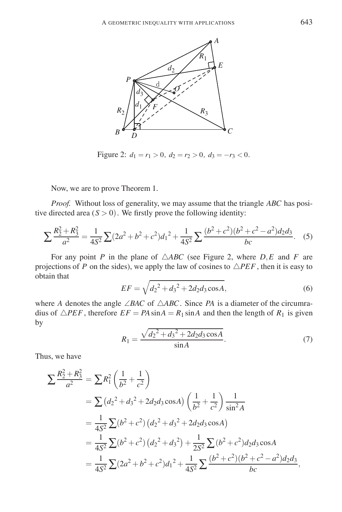

Figure 2:  $d_1 = r_1 > 0$ ,  $d_2 = r_2 > 0$ ,  $d_3 = -r_3 < 0$ .

Now, we are to prove Theorem 1.

*Proof.* Without loss of generality, we may assume that the triangle *ABC* has positive directed area  $(S > 0)$ . We firstly prove the following identity:

$$
\sum \frac{R_2^2 + R_3^2}{a^2} = \frac{1}{4S^2} \sum (2a^2 + b^2 + c^2) d_1^2 + \frac{1}{4S^2} \sum \frac{(b^2 + c^2)(b^2 + c^2 - a^2) d_2 d_3}{bc}.
$$
 (5)

For any point *P* in the plane of  $\triangle ABC$  (see Figure 2, where  $D, E$  and *F* are projections of *P* on the sides), we apply the law of cosines to  $\triangle PEF$ , then it is easy to obtain that

$$
EF = \sqrt{d_2^2 + d_3^2 + 2d_2d_3\cos A},\tag{6}
$$

where *A* denotes the angle  $\angle BAC$  of  $\triangle ABC$ . Since *PA* is a diameter of the circumradius of  $\triangle$ *PEF*, therefore  $EF = PA \sin A = R_1 \sin A$  and then the length of  $R_1$  is given by

$$
R_1 = \frac{\sqrt{d_2^2 + d_3^2 + 2d_2d_3\cos A}}{\sin A}.\tag{7}
$$

Thus, we have

$$
\sum \frac{R_2^2 + R_3^2}{a^2} = \sum R_1^2 \left(\frac{1}{b^2} + \frac{1}{c^2}\right)
$$
  
=  $\sum (d_2^2 + d_3^2 + 2d_2d_3\cos A) \left(\frac{1}{b^2} + \frac{1}{c^2}\right) \frac{1}{\sin^2 A}$   
=  $\frac{1}{4S^2} \sum (b^2 + c^2) (d_2^2 + d_3^2 + 2d_2d_3\cos A)$   
=  $\frac{1}{4S^2} \sum (b^2 + c^2) (d_2^2 + d_3^2) + \frac{1}{2S^2} \sum (b^2 + c^2) d_2d_3\cos A$   
=  $\frac{1}{4S^2} \sum (2a^2 + b^2 + c^2) d_1^2 + \frac{1}{4S^2} \sum \frac{(b^2 + c^2)(b^2 + c^2 - a^2) d_2d_3}{bc}$ ,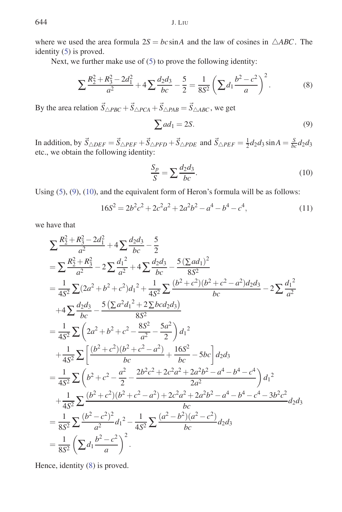where we used the area formula  $2S = bc \sin A$  and the law of cosines in  $\triangle ABC$ . The identity (5) is proved.

Next, we further make use of (5) to prove the following identity:

$$
\sum \frac{R_2^2 + R_3^2 - 2d_1^2}{a^2} + 4 \sum \frac{d_2 d_3}{bc} - \frac{5}{2} = \frac{1}{8S^2} \left( \sum d_1 \frac{b^2 - c^2}{a} \right)^2.
$$
 (8)

By the area relation  $\vec{S}_{\triangle PBC} + \vec{S}_{\triangle PCA} + \vec{S}_{\triangle PAB} = \vec{S}_{\triangle ABC}$ , we get

$$
\sum ad_1 = 2S. \tag{9}
$$

In addition, by  $\vec{S}_{\triangle DEF} = \vec{S}_{\triangle PEF} + \vec{S}_{\triangle PFD} + \vec{S}_{\triangle PDE}$  and  $\vec{S}_{\triangle PEF} = \frac{1}{2}d_2d_3\sin A = \frac{S}{bc}d_2d_3$ etc., we obtain the following identity:

$$
\frac{S_p}{S} = \sum \frac{d_2 d_3}{bc}.\tag{10}
$$

Using (5), (9), (10), and the equivalent form of Heron's formula will be as follows:

$$
16S^2 = 2b^2c^2 + 2c^2a^2 + 2a^2b^2 - a^4 - b^4 - c^4,
$$
\n(11)

we have that

$$
\sum \frac{R_2^2 + R_3^2 - 2d_1^2}{a^2} + 4 \sum \frac{d_2 d_3}{bc} - \frac{5}{2}
$$
\n
$$
= \sum \frac{R_2^2 + R_3^2}{a^2} - 2 \sum \frac{d_1^2}{a^2} + 4 \sum \frac{d_2 d_3}{bc} - \frac{5(\sum ad_1)^2}{8S^2}
$$
\n
$$
= \frac{1}{4S^2} \sum (2a^2 + b^2 + c^2) d_1^2 + \frac{1}{4S^2} \sum \frac{(b^2 + c^2)(b^2 + c^2 - a^2) d_2 d_3}{bc} - 2 \sum \frac{d_1^2}{a^2}
$$
\n
$$
+ 4 \sum \frac{d_2 d_3}{bc} - \frac{5(\sum a^2 d_1^2 + 2 \sum b c d_2 d_3)}{8S^2}
$$
\n
$$
= \frac{1}{4S^2} \sum \left(2a^2 + b^2 + c^2 - \frac{8S^2}{a^2} - \frac{5a^2}{2}\right) d_1^2
$$
\n
$$
+ \frac{1}{4S^2} \sum \left[\frac{(b^2 + c^2)(b^2 + c^2 - a^2)}{bc} + \frac{16S^2}{bc} - 5bc\right] d_2 d_3
$$
\n
$$
= \frac{1}{4S^2} \sum \left(b^2 + c^2 - \frac{a^2}{2} - \frac{2b^2c^2 + 2c^2a^2 + 2a^2b^2 - a^4 - b^4 - c^4}{2a^2}\right) d_1^2
$$
\n
$$
+ \frac{1}{4S^2} \sum \frac{(b^2 + c^2)(b^2 + c^2 - a^2) + 2c^2a^2 + 2a^2b^2 - a^4 - b^4 - c^4 - 3b^2c^2}{bc}
$$
\n
$$
= \frac{1}{8S^2} \sum \frac{(b^2 - c^2)^2}{a^2} d_1^2 - \frac{1}{4S^2} \sum \frac{(a^2 - b^2)(a^2 - c^2)}{bc} d_2 d_3
$$
\n
$$
= \frac{1}{8S^2} (\sum d_1 \frac{b^2 - c^2}{a})^2.
$$

Hence, identity (8) is proved.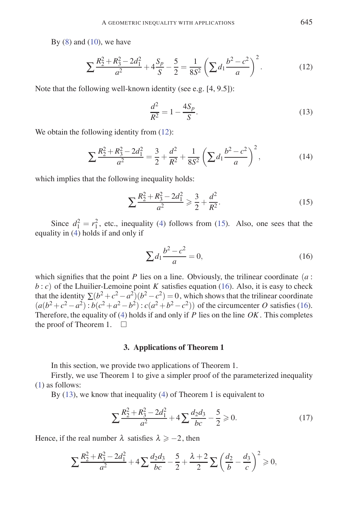By  $(8)$  and  $(10)$ , we have

$$
\sum \frac{R_2^2 + R_3^2 - 2d_1^2}{a^2} + 4\frac{S_p}{S} - \frac{5}{2} = \frac{1}{8S^2} \left( \sum d_1 \frac{b^2 - c^2}{a} \right)^2.
$$
 (12)

Note that the following well-known identity (see e.g. [4, 9.5]):

$$
\frac{d^2}{R^2} = 1 - \frac{4S_p}{S}.\tag{13}
$$

We obtain the following identity from  $(12)$ :

$$
\sum \frac{R_2^2 + R_3^2 - 2d_1^2}{a^2} = \frac{3}{2} + \frac{d^2}{R^2} + \frac{1}{8S^2} \left( \sum d_1 \frac{b^2 - c^2}{a} \right)^2,
$$
 (14)

which implies that the following inequality holds:

$$
\sum \frac{R_2^2 + R_3^2 - 2d_1^2}{a^2} \ge \frac{3}{2} + \frac{d^2}{R^2}.
$$
 (15)

Since  $d_1^2 = r_1^2$ , etc., inequality (4) follows from (15). Also, one sees that the equality in (4) holds if and only if

$$
\sum d_1 \frac{b^2 - c^2}{a} = 0,\t\t(16)
$$

which signifies that the point *P* lies on a line. Obviously, the trilinear coordinate  $(a:$  $b : c$ ) of the Lhuilier-Lemoine point *K* satisfies equation (16). Also, it is easy to check that the identity  $\sum (b^2 + c^2 - a^2)(b^2 - c^2) = 0$ , which shows that the trilinear coordinate  $(a(b^2+c^2-a^2): b(c^2+a^2-b^2): c(a^2+b^2-c^2))$  of the circumcenter *O* satisfies (16). Therefore, the equality of (4) holds if and only if *P* lies on the line *OK*. This completes the proof of Theorem 1.  $\square$ 

### **3. Applications of Theorem 1**

In this section, we provide two applications of Theorem 1.

Firstly, we use Theorem 1 to give a simpler proof of the parameterized inequality (1) as follows:

By (13), we know that inequality (4) of Theorem 1 is equivalent to

$$
\sum \frac{R_2^2 + R_3^2 - 2d_1^2}{a^2} + 4 \sum \frac{d_2 d_3}{bc} - \frac{5}{2} \ge 0.
$$
 (17)

Hence, if the real number  $\lambda$  satisfies  $\lambda \ge -2$ , then

$$
\sum \frac{R_2^2 + R_3^2 - 2d_1^2}{a^2} + 4 \sum \frac{d_2 d_3}{bc} - \frac{5}{2} + \frac{\lambda + 2}{2} \sum \left(\frac{d_2}{b} - \frac{d_3}{c}\right)^2 \ge 0,
$$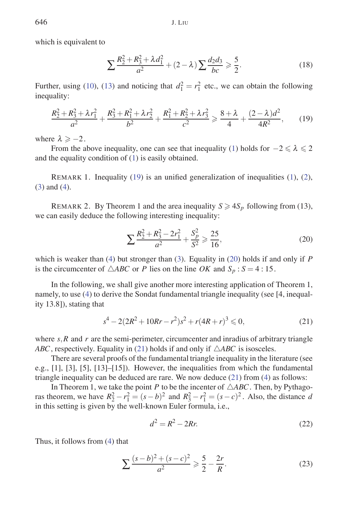which is equivalent to

$$
\sum \frac{R_2^2 + R_3^2 + \lambda d_1^2}{a^2} + (2 - \lambda) \sum \frac{d_2 d_3}{bc} \ge \frac{5}{2}.
$$
 (18)

Further, using (10), (13) and noticing that  $d_1^2 = r_1^2$  etc., we can obtain the following inequality:

$$
\frac{R_2^2 + R_3^2 + \lambda r_1^2}{a^2} + \frac{R_3^2 + R_1^2 + \lambda r_2^2}{b^2} + \frac{R_1^2 + R_2^2 + \lambda r_3^2}{c^2} \ge \frac{8 + \lambda}{4} + \frac{(2 - \lambda)d^2}{4R^2},\qquad(19)
$$

where  $\lambda \ge -2$ .

From the above inequality, one can see that inequality (1) holds for  $-2 \le \lambda \le 2$ and the equality condition of (1) is easily obtained.

REMARK 1. Inequality  $(19)$  is an unified generalization of inequalities  $(1)$ ,  $(2)$ , (3) and (4).

REMARK 2. By Theorem 1 and the area inequality  $S \geq 4S_p$  following from (13), we can easily deduce the following interesting inequality:

$$
\sum \frac{R_2^2 + R_3^2 - 2r_1^2}{a^2} + \frac{S_p^2}{S^2} \ge \frac{25}{16},\tag{20}
$$

which is weaker than (4) but stronger than (3). Equality in (20) holds if and only if *P* is the circumcenter of  $\triangle ABC$  or *P* lies on the line *OK* and  $S_p$ : *S* = 4:15.

In the following, we shall give another more interesting application of Theorem 1, namely, to use (4) to derive the Sondat fundamental triangle inequality (see [4, inequality 13.8]), stating that

$$
s^4 - 2(2R^2 + 10Rr - r^2)s^2 + r(4R + r)^3 \le 0,
$$
\n(21)

where  $s$ ,  $R$  and  $r$  are the semi-perimeter, circumcenter and inradius of arbitrary triangle *ABC*, respectively. Equality in (21) holds if and only if  $\triangle ABC$  is isosceles.

There are several proofs of the fundamental triangle inequality in the literature (see e.g., [1], [3], [5], [13]–[15]). However, the inequalities from which the fundamental triangle inequality can be deduced are rare. We now deduce (21) from (4) as follows:

In Theorem 1, we take the point *P* to be the incenter of  $\triangle ABC$ . Then, by Pythagoras theorem, we have  $R_2^2 - r_1^2 = (s - b)^2$  and  $R_3^2 - r_1^2 = (s - c)^2$ . Also, the distance *d* in this setting is given by the well-known Euler formula, i.e.,

$$
d^2 = R^2 - 2Rr.\tag{22}
$$

Thus, it follows from (4) that

$$
\sum \frac{(s-b)^2 + (s-c)^2}{a^2} \ge \frac{5}{2} - \frac{2r}{R}.
$$
 (23)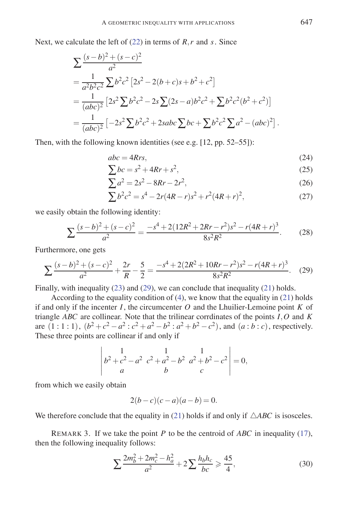Next, we calculate the left of (22) in terms of *R*,*r* and *s*. Since

$$
\sum \frac{(s-b)^2 + (s-c)^2}{a^2}
$$
  
=  $\frac{1}{a^2b^2c^2} \sum b^2c^2 [2s^2 - 2(b+c)s + b^2 + c^2]$   
=  $\frac{1}{(abc)^2} [2s^2 \sum b^2c^2 - 2s \sum (2s-a)b^2c^2 + \sum b^2c^2(b^2 + c^2)]$   
=  $\frac{1}{(abc)^2} [-2s^2 \sum b^2c^2 + 2sabc \sum bc + \sum b^2c^2 \sum a^2 - (abc)^2].$ 

Then, with the following known identities (see e.g. [12, pp. 52–55]):

$$
abc = 4Rrs,\tag{24}
$$

$$
\sum bc = s^2 + 4Rr + s^2,\tag{25}
$$

$$
\sum a^2 = 2s^2 - 8Rr - 2r^2,
$$
\n(26)

$$
\sum b^2 c^2 = s^4 - 2r(4R - r)s^2 + r^2(4R + r)^2,
$$
\n(27)

we easily obtain the following identity:

$$
\sum \frac{(s-b)^2 + (s-c)^2}{a^2} = \frac{-s^4 + 2(12R^2 + 2Rr - r^2)s^2 - r(4R+r)^3}{8s^2R^2}.
$$
 (28)

Furthermore, one gets

$$
\sum \frac{(s-b)^2 + (s-c)^2}{a^2} + \frac{2r}{R} - \frac{5}{2} = \frac{-s^4 + 2(2R^2 + 10Rr - r^2)s^2 - r(4R + r)^3}{8s^2R^2}.
$$
 (29)

Finally, with inequality (23) and (29), we can conclude that inequality (21) holds.

According to the equality condition of (4), we know that the equality in (21) holds if and only if the incenter  $I$ , the circumcenter  $O$  and the Lhuilier-Lemoine point  $K$  of triangle *ABC* are collinear. Note that the trilinear corrdinates of the points *I*,*O* and *K* are  $(1:1:1)$ ,  $(b^2+c^2-a^2:c^2+a^2-b^2:a^2+b^2-c^2)$ , and  $(a:b:c)$ , respectively. These three points are collinear if and only if

$$
\begin{vmatrix} 1 & 1 & 1 \ b^2 + c^2 - a^2 & c^2 + a^2 - b^2 & a^2 + b^2 - c^2 \ a & b & c \end{vmatrix} = 0,
$$

from which we easily obtain

$$
2(b-c)(c-a)(a-b) = 0.
$$

We therefore conclude that the equality in (21) holds if and only if  $\triangle ABC$  is isosceles.

REMARK 3. If we take the point *P* to be the centroid of *ABC* in inequality (17), then the following inequality follows:

$$
\sum \frac{2m_b^2 + 2m_c^2 - h_a^2}{a^2} + 2\sum \frac{h_b h_c}{bc} \geqslant \frac{45}{4},\tag{30}
$$